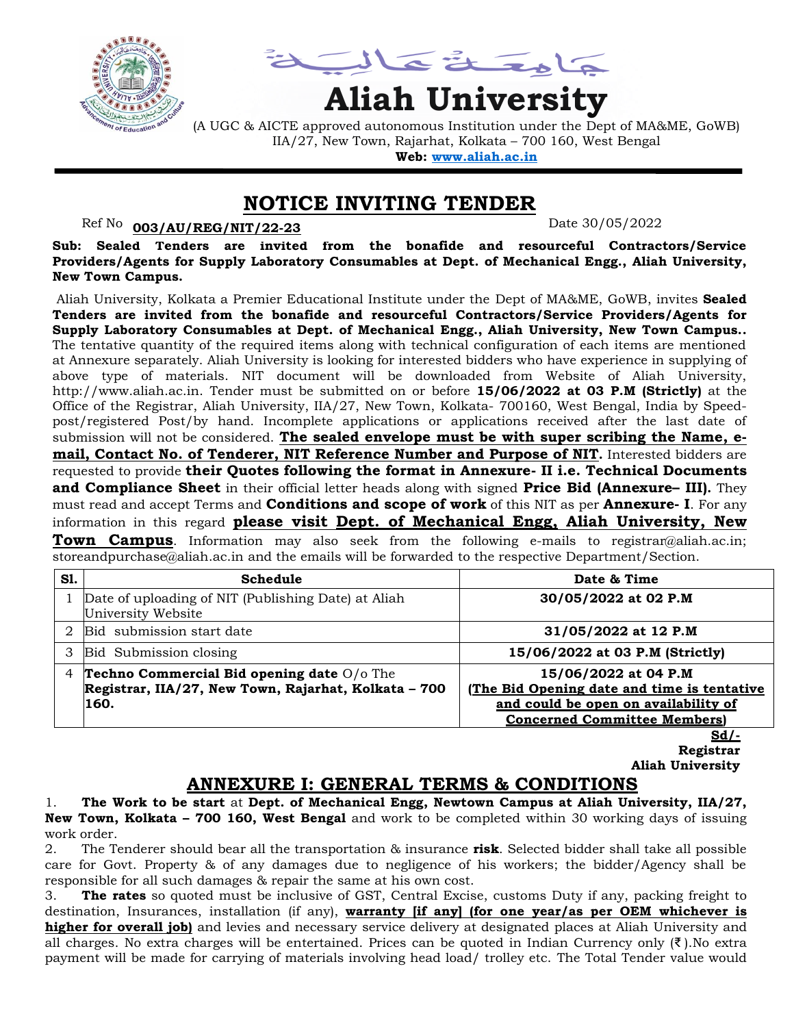

يمناعة تمالية

# **Aliah University**

(A UGC & AICTE approved autonomous Institution under the Dept of MA&ME, GoWB) IIA/27, New Town, Rajarhat, Kolkata – 700 160, West Bengal

**Web: [www.aliah.ac.in](http://www.aliah.ac.in/)**

#### **NOTICE INVITING TENDER**

#### Ref No: <u>003/AU/REG/NIT/22-23</u> Date 30/05/2022

**Sub: Sealed Tenders are invited from the bonafide and resourceful Contractors/Service Providers/Agents for Supply Laboratory Consumables at Dept. of Mechanical Engg., Aliah University, New Town Campus.**

Aliah University, Kolkata a Premier Educational Institute under the Dept of MA&ME, GoWB, invites **Sealed Tenders are invited from the bonafide and resourceful Contractors/Service Providers/Agents for Supply Laboratory Consumables at Dept. of Mechanical Engg., Aliah University, New Town Campus..** The tentative quantity of the required items along with technical configuration of each items are mentioned at Annexure separately. Aliah University is looking for interested bidders who have experience in supplying of above type of materials. NIT document will be downloaded from Website of Aliah University, http://www.aliah.ac.in. Tender must be submitted on or before **15/06/2022 at 03 P.M (Strictly)** at the Office of the Registrar, Aliah University, IIA/27, New Town, Kolkata- 700160, West Bengal, India by Speedpost/registered Post/by hand. Incomplete applications or applications received after the last date of submission will not be considered. **The sealed envelope must be with super scribing the Name, email, Contact No. of Tenderer, NIT Reference Number and Purpose of NIT.** Interested bidders are requested to provide **their Quotes following the format in Annexure- II i.e. Technical Documents and Compliance Sheet** in their official letter heads along with signed **Price Bid (Annexure– III).** They must read and accept Terms and **Conditions and scope of work** of this NIT as per **Annexure- I**. For any information in this regard **please visit Dept. of Mechanical Engg, Aliah University, New** 

**Town Campus**. Information may also seek from the following e-mails to registrar@aliah.ac.in; storeandpurchase@aliah.ac.in and the emails will be forwarded to the respective Department/Section.

| S1.            | Schedule                                                                                           | Date & Time                                                                 |
|----------------|----------------------------------------------------------------------------------------------------|-----------------------------------------------------------------------------|
|                | Date of uploading of NIT (Publishing Date) at Aliah<br>University Website                          | 30/05/2022 at 02 P.M                                                        |
|                | Bid submission start date                                                                          | 31/05/2022 at 12 P.M                                                        |
|                | Bid Submission closing                                                                             | 15/06/2022 at 03 P.M (Strictly)                                             |
| $\overline{4}$ | Techno Commercial Bid opening date O/o The<br>Registrar, IIA/27, New Town, Rajarhat, Kolkata - 700 | 15/06/2022 at 04 P.M<br>(The Bid Opening date and time is tentative         |
|                | 160.                                                                                               | and could be open on availability of<br><b>Concerned Committee Members)</b> |

**Sd/- Registrar Aliah University**

# **ANNEXURE I: GENERAL TERMS & CONDITIONS**

1. **The Work to be start** at **Dept. of Mechanical Engg, Newtown Campus at Aliah University, IIA/27, New Town, Kolkata – 700 160, West Bengal** and work to be completed within 30 working days of issuing work order.

2. The Tenderer should bear all the transportation & insurance **risk**. Selected bidder shall take all possible care for Govt. Property & of any damages due to negligence of his workers; the bidder/Agency shall be responsible for all such damages & repair the same at his own cost.

3. **The rates** so quoted must be inclusive of GST, Central Excise, customs Duty if any, packing freight to destination, Insurances, installation (if any), **warranty [if any] (for one year/as per OEM whichever is higher for overall job)** and levies and necessary service delivery at designated places at Aliah University and all charges. No extra charges will be entertained. Prices can be quoted in Indian Currency only (₹ ).No extra payment will be made for carrying of materials involving head load/ trolley etc. The Total Tender value would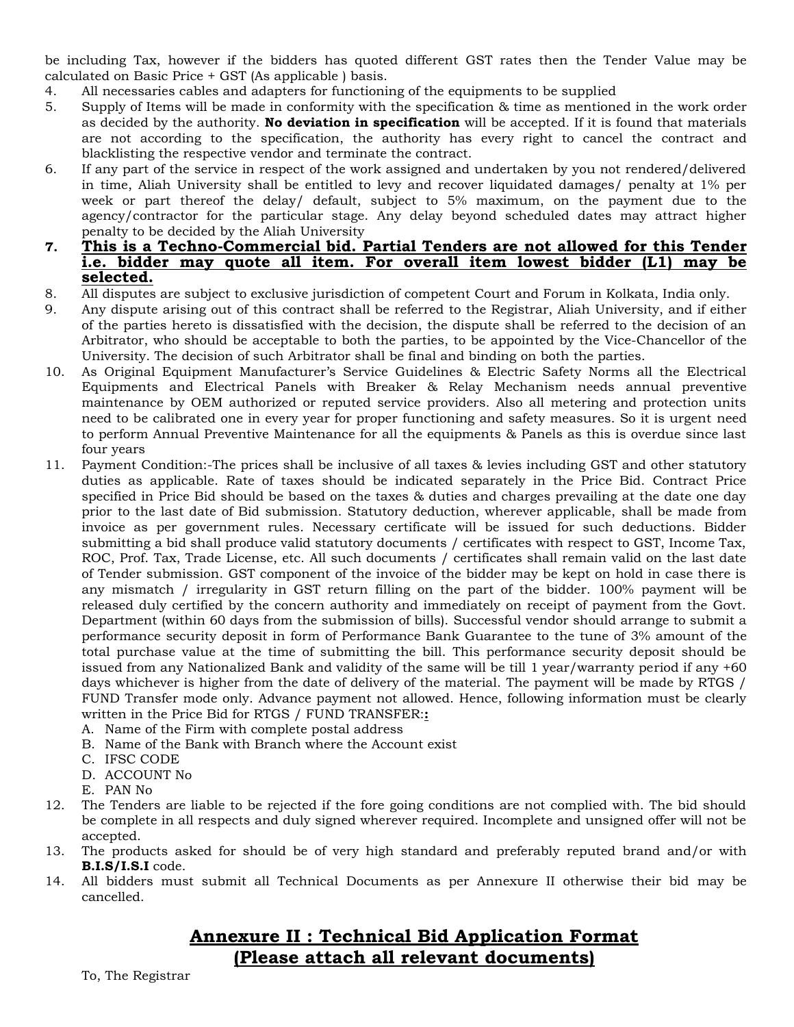be including Tax, however if the bidders has quoted different GST rates then the Tender Value may be calculated on Basic Price + GST (As applicable ) basis.

- 4. All necessaries cables and adapters for functioning of the equipments to be supplied
- 5. Supply of Items will be made in conformity with the specification & time as mentioned in the work order as decided by the authority. **No deviation in specification** will be accepted. If it is found that materials are not according to the specification, the authority has every right to cancel the contract and blacklisting the respective vendor and terminate the contract.
- 6. If any part of the service in respect of the work assigned and undertaken by you not rendered/delivered in time, Aliah University shall be entitled to levy and recover liquidated damages/ penalty at 1% per week or part thereof the delay/ default, subject to 5% maximum, on the payment due to the agency/contractor for the particular stage. Any delay beyond scheduled dates may attract higher penalty to be decided by the Aliah University
- **7. This is a Techno-Commercial bid. Partial Tenders are not allowed for this Tender i.e. bidder may quote all item. For overall item lowest bidder (L1) may be selected.**
- 8. All disputes are subject to exclusive jurisdiction of competent Court and Forum in Kolkata, India only.
- 9. Any dispute arising out of this contract shall be referred to the Registrar, Aliah University, and if either of the parties hereto is dissatisfied with the decision, the dispute shall be referred to the decision of an Arbitrator, who should be acceptable to both the parties, to be appointed by the Vice-Chancellor of the University. The decision of such Arbitrator shall be final and binding on both the parties.
- 10. As Original Equipment Manufacturer's Service Guidelines & Electric Safety Norms all the Electrical Equipments and Electrical Panels with Breaker & Relay Mechanism needs annual preventive maintenance by OEM authorized or reputed service providers. Also all metering and protection units need to be calibrated one in every year for proper functioning and safety measures. So it is urgent need to perform Annual Preventive Maintenance for all the equipments & Panels as this is overdue since last four years
- 11. Payment Condition:-The prices shall be inclusive of all taxes & levies including GST and other statutory duties as applicable. Rate of taxes should be indicated separately in the Price Bid. Contract Price specified in Price Bid should be based on the taxes & duties and charges prevailing at the date one day prior to the last date of Bid submission. Statutory deduction, wherever applicable, shall be made from invoice as per government rules. Necessary certificate will be issued for such deductions. Bidder submitting a bid shall produce valid statutory documents / certificates with respect to GST, Income Tax, ROC, Prof. Tax, Trade License, etc. All such documents / certificates shall remain valid on the last date of Tender submission. GST component of the invoice of the bidder may be kept on hold in case there is any mismatch / irregularity in GST return filling on the part of the bidder. 100% payment will be released duly certified by the concern authority and immediately on receipt of payment from the Govt. Department (within 60 days from the submission of bills). Successful vendor should arrange to submit a performance security deposit in form of Performance Bank Guarantee to the tune of 3% amount of the total purchase value at the time of submitting the bill. This performance security deposit should be issued from any Nationalized Bank and validity of the same will be till 1 year/warranty period if any +60 days whichever is higher from the date of delivery of the material. The payment will be made by RTGS / FUND Transfer mode only. Advance payment not allowed. Hence, following information must be clearly written in the Price Bid for RTGS / FUND TRANSFER:**:**
	- A. Name of the Firm with complete postal address
	- B. Name of the Bank with Branch where the Account exist
	- C. IFSC CODE
	- D. ACCOUNT No
	- E. PAN No
- 12. The Tenders are liable to be rejected if the fore going conditions are not complied with. The bid should be complete in all respects and duly signed wherever required. Incomplete and unsigned offer will not be accepted.
- 13. The products asked for should be of very high standard and preferably reputed brand and/or with **B.I.S/I.S.I** code.
- 14. All bidders must submit all Technical Documents as per Annexure II otherwise their bid may be cancelled.

# **Annexure II : Technical Bid Application Format (Please attach all relevant documents)**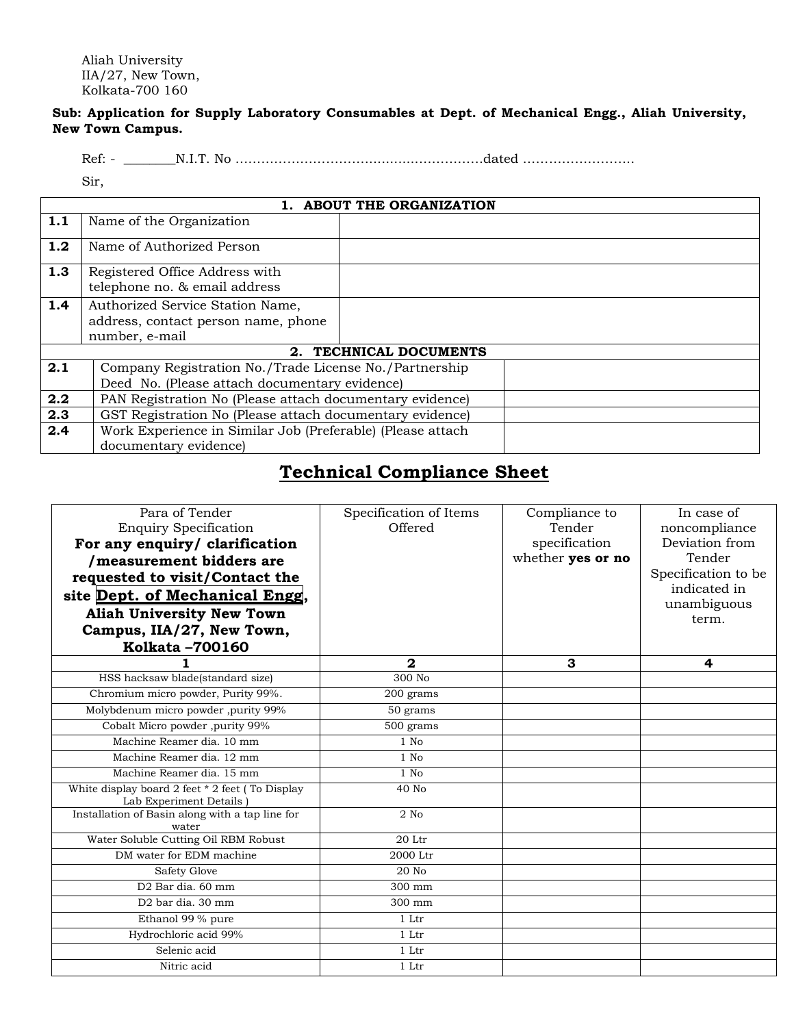Aliah University IIA/27, New Town, Kolkata-700 160

#### **Sub: Application for Supply Laboratory Consumables at Dept. of Mechanical Engg., Aliah University, New Town Campus.**

Ref: - \_\_\_\_\_\_\_\_N.I.T. No ………………………….............……………dated ……………………..

Sir,

| 1. ABOUT THE ORGANIZATION |                                                                         |                        |  |  |  |
|---------------------------|-------------------------------------------------------------------------|------------------------|--|--|--|
| 1.1                       | Name of the Organization                                                |                        |  |  |  |
| 1.2                       | Name of Authorized Person                                               |                        |  |  |  |
| 1.3                       | Registered Office Address with<br>telephone no. & email address         |                        |  |  |  |
| 1.4                       | Authorized Service Station Name,<br>address, contact person name, phone |                        |  |  |  |
|                           | number, e-mail                                                          |                        |  |  |  |
|                           |                                                                         | 2. TECHNICAL DOCUMENTS |  |  |  |
| 2.1                       | Company Registration No./Trade License No./Partnership                  |                        |  |  |  |
|                           | Deed No. (Please attach documentary evidence)                           |                        |  |  |  |
| 2.2                       | PAN Registration No (Please attach documentary evidence)                |                        |  |  |  |
| 2.3                       | GST Registration No (Please attach documentary evidence)                |                        |  |  |  |
| 2.4                       | Work Experience in Similar Job (Preferable) (Please attach              |                        |  |  |  |
|                           | documentary evidence)                                                   |                        |  |  |  |

# **Technical Compliance Sheet**

| Para of Tender                                                               | Specification of Items | Compliance to     | In case of           |
|------------------------------------------------------------------------------|------------------------|-------------------|----------------------|
| <b>Enquiry Specification</b>                                                 | Offered                | Tender            | noncompliance        |
| For any enquiry/ clarification                                               |                        | specification     | Deviation from       |
| /measurement bidders are                                                     |                        | whether yes or no | Tender               |
| requested to visit/Contact the                                               |                        |                   | Specification to be  |
| site Dept. of Mechanical Engg,                                               |                        |                   | indicated in         |
| <b>Aliah University New Town</b>                                             |                        |                   | unambiguous<br>term. |
| Campus, IIA/27, New Town,                                                    |                        |                   |                      |
| Kolkata -700160                                                              |                        |                   |                      |
|                                                                              | 2                      | 3                 | 4                    |
| HSS hacksaw blade(standard size)                                             | 300 No                 |                   |                      |
| Chromium micro powder, Purity 99%.                                           | 200 grams              |                   |                      |
| Molybdenum micro powder ,purity 99%                                          | 50 grams               |                   |                      |
| Cobalt Micro powder ,purity 99%                                              | 500 grams              |                   |                      |
| Machine Reamer dia. 10 mm                                                    | $1$ No                 |                   |                      |
| Machine Reamer dia. 12 mm                                                    | $1$ No                 |                   |                      |
| Machine Reamer dia. 15 mm                                                    | $1$ No                 |                   |                      |
| White display board 2 feet * 2 feet ( To Display<br>Lab Experiment Details ) | 40 No                  |                   |                      |
| Installation of Basin along with a tap line for<br>water                     | $2$ No                 |                   |                      |
| Water Soluble Cutting Oil RBM Robust                                         | 20 Ltr                 |                   |                      |
| DM water for EDM machine                                                     | 2000 Ltr               |                   |                      |
| Safety Glove                                                                 | 20 No                  |                   |                      |
| D <sub>2</sub> Bar dia, 60 mm                                                | 300 mm                 |                   |                      |
| D <sub>2</sub> bar dia. 30 mm                                                | 300 mm                 |                   |                      |
| Ethanol 99 % pure                                                            | 1 Ltr                  |                   |                      |
| Hydrochloric acid 99%                                                        | 1 Ltr                  |                   |                      |
| Selenic acid                                                                 | 1 Ltr                  |                   |                      |
| Nitric acid                                                                  | 1 Ltr                  |                   |                      |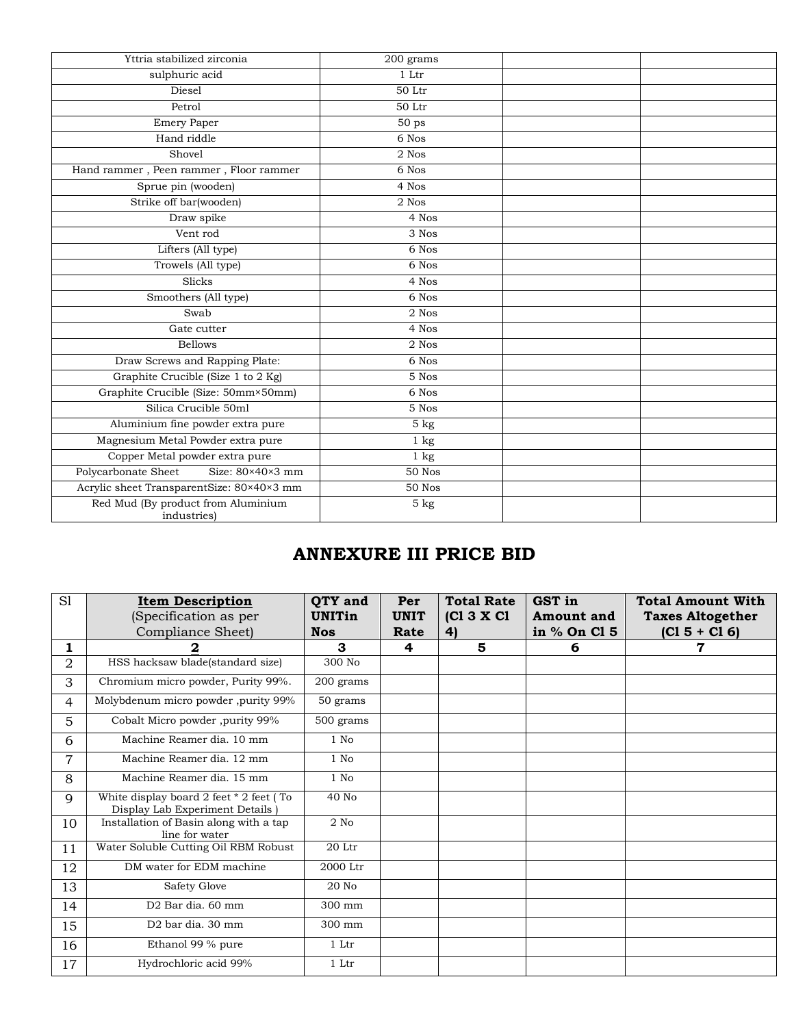| Yttria stabilized zirconia                              | 200 grams          |  |
|---------------------------------------------------------|--------------------|--|
| sulphuric acid                                          | $1\;{\rm Ltr}$     |  |
| Diesel                                                  | 50 Ltr             |  |
| Petrol                                                  | 50 Ltr             |  |
| Emery Paper                                             | 50 <sub>ps</sub>   |  |
| Hand riddle                                             | 6 Nos              |  |
| Shovel                                                  | $\overline{2}$ Nos |  |
| Hand rammer, Peen rammer, Floor rammer                  | 6 Nos              |  |
| Sprue pin (wooden)                                      | 4 Nos              |  |
| Strike off bar(wooden)                                  | 2 Nos              |  |
| Draw spike                                              | 4 Nos              |  |
| Vent rod                                                | 3 Nos              |  |
| Lifters (All type)                                      | 6 Nos              |  |
| Trowels (All type)                                      | 6 Nos              |  |
| Slicks                                                  | 4 Nos              |  |
| Smoothers (All type)                                    | 6 Nos              |  |
| Swab                                                    | $2$ Nos            |  |
| Gate cutter                                             | 4 Nos              |  |
| <b>Bellows</b>                                          | 2 Nos              |  |
| Draw Screws and Rapping Plate:                          | 6 Nos              |  |
| Graphite Crucible (Size 1 to 2 Kg)                      | 5 Nos              |  |
| Graphite Crucible (Size: 50mm×50mm)                     | 6 Nos              |  |
| Silica Crucible 50ml                                    | 5 Nos              |  |
| Aluminium fine powder extra pure                        | 5 <sub>kg</sub>    |  |
| Magnesium Metal Powder extra pure                       | $1 \text{ kg}$     |  |
| Copper Metal powder extra pure                          | $\overline{1}$ kg  |  |
| Polycarbonate Sheet<br>Size: $80 \times 40 \times 3$ mm | <b>50 Nos</b>      |  |
| Acrylic sheet TransparentSize: 80×40×3 mm               | <b>50 Nos</b>      |  |
| Red Mud (By product from Aluminium<br>industries)       | 5 <sub>kg</sub>    |  |
|                                                         |                    |  |

# **ANNEXURE III PRICE BID**

| S1 | <b>Item Description</b><br>(Specification as per<br>Compliance Sheet)         | QTY and<br><b>UNITin</b><br><b>Nos</b> | Per<br><b>UNIT</b><br>Rate | <b>Total Rate</b><br>[CI 3 X CI]<br>4) | GST in<br><b>Amount</b> and<br>in % On Cl 5 | <b>Total Amount With</b><br><b>Taxes Altogether</b><br>$(C1 5 + C1 6)$ |
|----|-------------------------------------------------------------------------------|----------------------------------------|----------------------------|----------------------------------------|---------------------------------------------|------------------------------------------------------------------------|
| 1  |                                                                               | 3                                      | 4                          | 5                                      | 6                                           | 7                                                                      |
| 2  | HSS hacksaw blade(standard size)                                              | 300 No                                 |                            |                                        |                                             |                                                                        |
| 3  | Chromium micro powder, Purity 99%.                                            | 200 grams                              |                            |                                        |                                             |                                                                        |
| 4  | Molybdenum micro powder ,purity 99%                                           | 50 grams                               |                            |                                        |                                             |                                                                        |
| 5  | Cobalt Micro powder, purity 99%                                               | 500 grams                              |                            |                                        |                                             |                                                                        |
| 6  | Machine Reamer dia, 10 mm                                                     | $1$ No                                 |                            |                                        |                                             |                                                                        |
| 7  | Machine Reamer dia. 12 mm                                                     | 1 No                                   |                            |                                        |                                             |                                                                        |
| 8  | Machine Reamer dia. 15 mm                                                     | 1 No                                   |                            |                                        |                                             |                                                                        |
| 9  | White display board 2 feet $*$ 2 feet (To<br>Display Lab Experiment Details ) | 40 No                                  |                            |                                        |                                             |                                                                        |
| 10 | Installation of Basin along with a tap<br>line for water                      | $2$ No                                 |                            |                                        |                                             |                                                                        |
| 11 | Water Soluble Cutting Oil RBM Robust                                          | 20 Ltr                                 |                            |                                        |                                             |                                                                        |
| 12 | DM water for EDM machine                                                      | 2000 Ltr                               |                            |                                        |                                             |                                                                        |
| 13 | Safety Glove                                                                  | 20 No                                  |                            |                                        |                                             |                                                                        |
| 14 | D <sub>2</sub> Bar dia, 60 mm                                                 | 300 mm                                 |                            |                                        |                                             |                                                                        |
| 15 | D <sub>2</sub> bar dia, 30 mm                                                 | 300 mm                                 |                            |                                        |                                             |                                                                        |
| 16 | Ethanol 99 % pure                                                             | 1 Ltr                                  |                            |                                        |                                             |                                                                        |
| 17 | Hydrochloric acid 99%                                                         | 1 Ltr                                  |                            |                                        |                                             |                                                                        |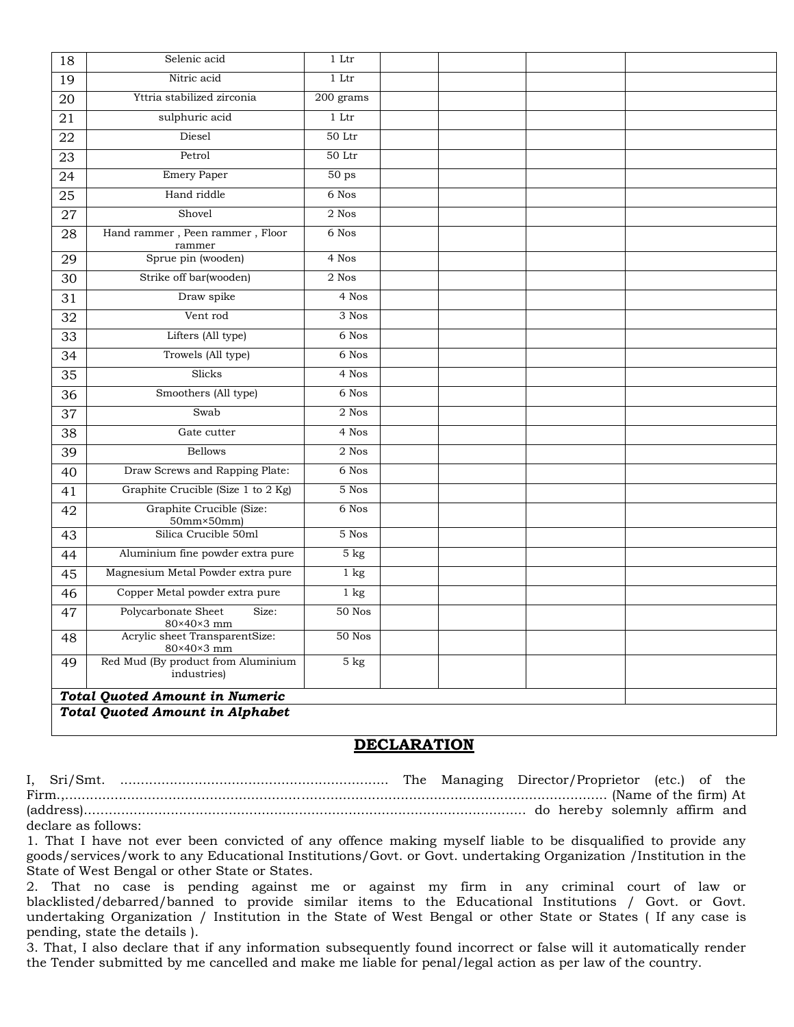| 18 | Selenic acid                                      | 1 Ltr            |  |  |
|----|---------------------------------------------------|------------------|--|--|
| 19 | Nitric acid                                       | $1$ Ltr $\,$     |  |  |
| 20 | Yttria stabilized zirconia                        | 200 grams        |  |  |
| 21 | sulphuric acid                                    | 1 Ltr            |  |  |
| 22 | Diesel                                            | $50$ Ltr         |  |  |
| 23 | Petrol                                            | $50$ Ltr         |  |  |
| 24 | <b>Emery Paper</b>                                | 50 <sub>ps</sub> |  |  |
| 25 | Hand riddle                                       | 6 Nos            |  |  |
| 27 | Shovel                                            | $2$ Nos          |  |  |
| 28 | Hand rammer, Peen rammer, Floor<br>rammer         | 6 Nos            |  |  |
| 29 | Sprue pin (wooden)                                | 4 Nos            |  |  |
| 30 | Strike off bar(wooden)                            | $2$ $\mbox{Nos}$ |  |  |
| 31 | Draw spike                                        | 4 Nos            |  |  |
| 32 | Vent rod                                          | 3 Nos            |  |  |
| 33 | Lifters (All type)                                | 6 Nos            |  |  |
| 34 | Trowels (All type)                                | 6 Nos            |  |  |
| 35 | Slicks                                            | 4 Nos            |  |  |
| 36 | Smoothers (All type)                              | 6 Nos            |  |  |
| 37 | Swab                                              | 2 Nos            |  |  |
| 38 | Gate cutter                                       | 4 Nos            |  |  |
| 39 | <b>Bellows</b>                                    | $2$ Nos          |  |  |
| 40 | Draw Screws and Rapping Plate:                    | 6 Nos            |  |  |
| 41 | Graphite Crucible (Size 1 to 2 Kg)                | 5 Nos            |  |  |
| 42 | Graphite Crucible (Size:<br>50mm×50mm)            | 6 Nos            |  |  |
| 43 | Silica Crucible 50ml                              | 5 Nos            |  |  |
| 44 | Aluminium fine powder extra pure                  | 5 <sub>kg</sub>  |  |  |
| 45 | Magnesium Metal Powder extra pure                 | 1 kg             |  |  |
| 46 | Copper Metal powder extra pure                    | $1 \text{ kg}$   |  |  |
| 47 | Polycarbonate Sheet<br>Size:<br>80×40×3 mm        | 50 Nos           |  |  |
| 48 | Acrylic sheet TransparentSize:<br>80×40×3 mm      | 50 Nos           |  |  |
| 49 | Red Mud (By product from Aluminium<br>industries) | 5 <sub>kg</sub>  |  |  |
|    | <b>Total Quoted Amount in Numeric</b>             |                  |  |  |
|    | <b>Total Quoted Amount in Alphabet</b>            |                  |  |  |

#### **DECLARATION**

I, Sri/Smt. ................................................................. The Managing Director/Proprietor (etc.) of the Firm.,................................................................................................................................... (Name of the firm) At (address)........................................................................................................... do hereby solemnly affirm and declare as follows:

1. That I have not ever been convicted of any offence making myself liable to be disqualified to provide any goods/services/work to any Educational Institutions/Govt. or Govt. undertaking Organization /Institution in the State of West Bengal or other State or States.

2. That no case is pending against me or against my firm in any criminal court of law or blacklisted/debarred/banned to provide similar items to the Educational Institutions / Govt. or Govt. undertaking Organization / Institution in the State of West Bengal or other State or States ( If any case is pending, state the details ).

3. That, I also declare that if any information subsequently found incorrect or false will it automatically render the Tender submitted by me cancelled and make me liable for penal/legal action as per law of the country.